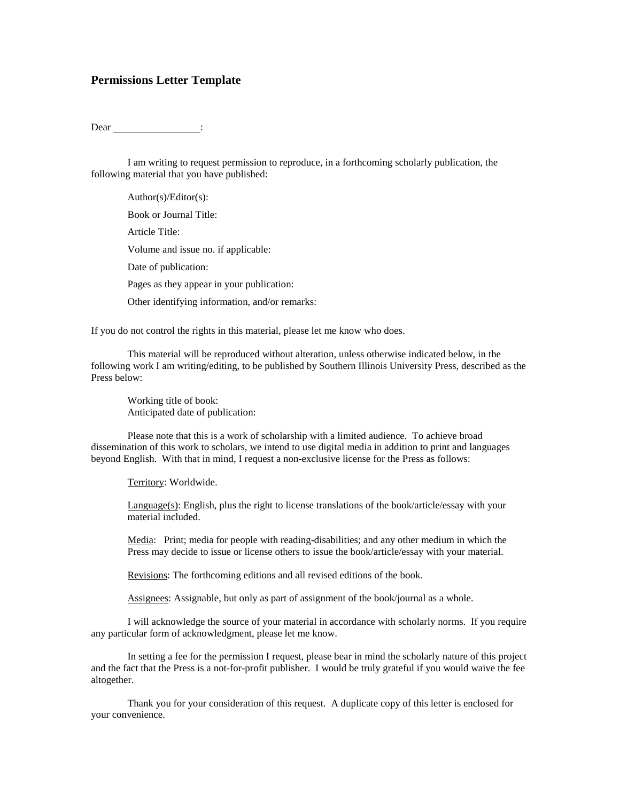## **Permissions Letter Template**

Dear : the Dear is not a set of the set of the set of the set of the set of the set of the set of the set of the set of the set of the set of the set of the set of the set of the set of the set of the set of the set of the

I am writing to request permission to reproduce, in a forthcoming scholarly publication, the following material that you have published:

Author(s)/Editor(s): Book or Journal Title: Article Title: Volume and issue no. if applicable: Date of publication: Pages as they appear in your publication: Other identifying information, and/or remarks:

If you do not control the rights in this material, please let me know who does.

This material will be reproduced without alteration, unless otherwise indicated below, in the following work I am writing/editing, to be published by Southern Illinois University Press, described as the Press below:

Working title of book: Anticipated date of publication:

Please note that this is a work of scholarship with a limited audience. To achieve broad dissemination of this work to scholars, we intend to use digital media in addition to print and languages beyond English. With that in mind, I request a non-exclusive license for the Press as follows:

Territory: Worldwide.

Language(s): English, plus the right to license translations of the book/article/essay with your material included.

Media: Print; media for people with reading-disabilities; and any other medium in which the Press may decide to issue or license others to issue the book/article/essay with your material.

Revisions: The forthcoming editions and all revised editions of the book.

Assignees: Assignable, but only as part of assignment of the book/journal as a whole.

I will acknowledge the source of your material in accordance with scholarly norms. If you require any particular form of acknowledgment, please let me know.

In setting a fee for the permission I request, please bear in mind the scholarly nature of this project and the fact that the Press is a not-for-profit publisher. I would be truly grateful if you would waive the fee altogether.

Thank you for your consideration of this request. A duplicate copy of this letter is enclosed for your convenience.